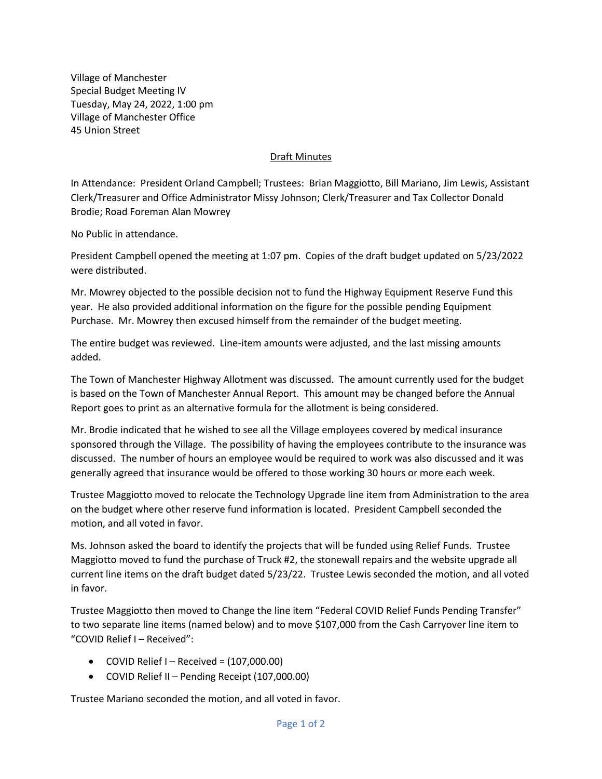Village of Manchester Special Budget Meeting IV Tuesday, May 24, 2022, 1:00 pm Village of Manchester Office 45 Union Street

## Draft Minutes

In Attendance: President Orland Campbell; Trustees: Brian Maggiotto, Bill Mariano, Jim Lewis, Assistant Clerk/Treasurer and Office Administrator Missy Johnson; Clerk/Treasurer and Tax Collector Donald Brodie; Road Foreman Alan Mowrey

No Public in attendance.

President Campbell opened the meeting at 1:07 pm. Copies of the draft budget updated on 5/23/2022 were distributed.

Mr. Mowrey objected to the possible decision not to fund the Highway Equipment Reserve Fund this year. He also provided additional information on the figure for the possible pending Equipment Purchase. Mr. Mowrey then excused himself from the remainder of the budget meeting.

The entire budget was reviewed. Line-item amounts were adjusted, and the last missing amounts added.

The Town of Manchester Highway Allotment was discussed. The amount currently used for the budget is based on the Town of Manchester Annual Report. This amount may be changed before the Annual Report goes to print as an alternative formula for the allotment is being considered.

Mr. Brodie indicated that he wished to see all the Village employees covered by medical insurance sponsored through the Village. The possibility of having the employees contribute to the insurance was discussed. The number of hours an employee would be required to work was also discussed and it was generally agreed that insurance would be offered to those working 30 hours or more each week.

Trustee Maggiotto moved to relocate the Technology Upgrade line item from Administration to the area on the budget where other reserve fund information is located. President Campbell seconded the motion, and all voted in favor.

Ms. Johnson asked the board to identify the projects that will be funded using Relief Funds. Trustee Maggiotto moved to fund the purchase of Truck #2, the stonewall repairs and the website upgrade all current line items on the draft budget dated 5/23/22. Trustee Lewis seconded the motion, and all voted in favor.

Trustee Maggiotto then moved to Change the line item "Federal COVID Relief Funds Pending Transfer" to two separate line items (named below) and to move \$107,000 from the Cash Carryover line item to "COVID Relief I – Received":

- COVID Relief I Received =  $(107,000.00)$
- COVID Relief II Pending Receipt (107,000.00)

Trustee Mariano seconded the motion, and all voted in favor.